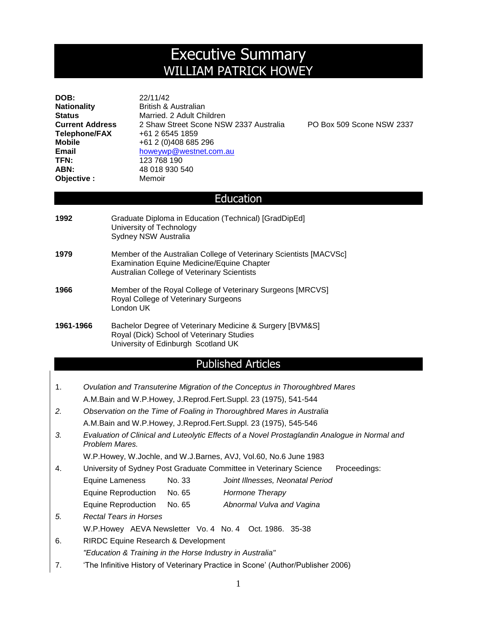# Executive Summary WILLIAM PATRICK HOWEY

| DOB:                   | 22/11/42                               |
|------------------------|----------------------------------------|
| <b>Nationality</b>     | British & Australian                   |
| Status                 | Married, 2 Adult Children              |
| <b>Current Address</b> | 2 Shaw Street Scone NSW 2337 Australia |
| <b>Telephone/FAX</b>   | +61 2 6545 1859                        |
| Mobile                 | +61 2 (0)408 685 296                   |
| Email                  | howeywp@westnet.com.au                 |
| TFN:                   | 123 768 190                            |
| ABN:                   | 48 018 930 540                         |
| Objective:             | Memoir                                 |
|                        |                                        |

PO Box 509 Scone NSW 2337

#### **Education**

| 1992      | Graduate Diploma in Education (Technical) [GradDipEd]<br>University of Technology<br>Sydney NSW Australia                                                              |
|-----------|------------------------------------------------------------------------------------------------------------------------------------------------------------------------|
| 1979      | Member of the Australian College of Veterinary Scientists [MACVSc]<br><b>Examination Equine Medicine/Equine Chapter</b><br>Australian College of Veterinary Scientists |
| 1966      | Member of the Royal College of Veterinary Surgeons [MRCVS]<br>Royal College of Veterinary Surgeons<br>London UK                                                        |
| 1961-1966 | Bachelor Degree of Veterinary Medicine & Surgery [BVM&S]<br>Royal (Dick) School of Veterinary Studies<br>University of Edinburgh Scotland UK                           |

## Published Articles

| Ovulation and Transuterine Migration of the Conceptus in Thoroughbred Mares |
|-----------------------------------------------------------------------------|
| A.M.Bain and W.P.Howey, J.Reprod.Fert.Suppl. 23 (1975), 541-544             |

- *2. Observation on the Time of Foaling in Thoroughbred Mares in Australia* A.M.Bain and W.P.Howey, J.Reprod.Fert.Suppl. 23 (1975), 545-546
- *3. Evaluation of Clinical and Luteolytic Effects of a Novel Prostaglandin Analogue in Normal and Problem Mares.*

W.P.Howey, W.Jochle, and W.J.Barnes, AVJ, Vol.60, No.6 June 1983

- 4. University of Sydney Post Graduate Committee in Veterinary Science Proceedings:
	- Equine Lameness No. 33 *Joint Illnesses, Neonatal Period*
	- Equine Reproduction No. 65 *Hormone Therapy*
	- Equine Reproduction No. 65 *Abnormal Vulva and Vagina*
- *5. Rectal Tears in Horses* W.P.Howey AEVA Newsletter Vo. 4 No. 4 Oct. 1986. 35-38
- 6. RIRDC Equine Research & Development
	- *"Education & Training in the Horse Industry in Australia"*
- 7. 'The Infinitive History of Veterinary Practice in Scone' (Author/Publisher 2006)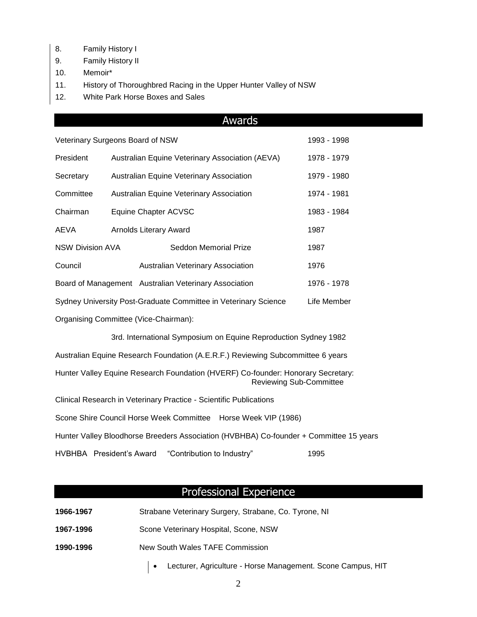- 8. Family History I
- 9. Family History II
- 10. Memoir\*
- 11. History of Thoroughbred Racing in the Upper Hunter Valley of NSW
- 12. White Park Horse Boxes and Sales

#### Awards

| Veterinary Surgeons Board of NSW                                               |                                                 |                                                       | 1993 - 1998 |
|--------------------------------------------------------------------------------|-------------------------------------------------|-------------------------------------------------------|-------------|
| President                                                                      | Australian Equine Veterinary Association (AEVA) |                                                       |             |
| Secretary                                                                      | <b>Australian Equine Veterinary Association</b> |                                                       | 1979 - 1980 |
| Committee                                                                      | <b>Australian Equine Veterinary Association</b> |                                                       | 1974 - 1981 |
| Chairman                                                                       | Equine Chapter ACVSC                            |                                                       | 1983 - 1984 |
| AEVA                                                                           | <b>Arnolds Literary Award</b>                   |                                                       | 1987        |
| <b>NSW Division AVA</b>                                                        |                                                 | Seddon Memorial Prize                                 | 1987        |
| Council                                                                        |                                                 | Australian Veterinary Association                     | 1976        |
|                                                                                |                                                 | Board of Management Australian Veterinary Association | 1976 - 1978 |
| Sydney University Post-Graduate Committee in Veterinary Science<br>Life Member |                                                 |                                                       |             |
|                                                                                |                                                 |                                                       |             |

Organising Committee (Vice-Chairman):

3rd. International Symposium on Equine Reproduction Sydney 1982

Australian Equine Research Foundation (A.E.R.F.) Reviewing Subcommittee 6 years

Hunter Valley Equine Research Foundation (HVERF) Co-founder: Honorary Secretary: Reviewing Sub-Committee

Clinical Research in Veterinary Practice - Scientific Publications

Scone Shire Council Horse Week Committee Horse Week VIP (1986)

Hunter Valley Bloodhorse Breeders Association (HVBHBA) Co-founder + Committee 15 years

HVBHBA President's Award "Contribution to Industry" 1995

# Professional Experience

| 1966-1967 | Strabane Veterinary Surgery, Strabane, Co. Tyrone, NI |
|-----------|-------------------------------------------------------|
| 1967-1996 | Scone Veterinary Hospital, Scone, NSW                 |
| 1990-1996 | New South Wales TAFE Commission                       |

Lecturer, Agriculture - Horse Management. Scone Campus, HIT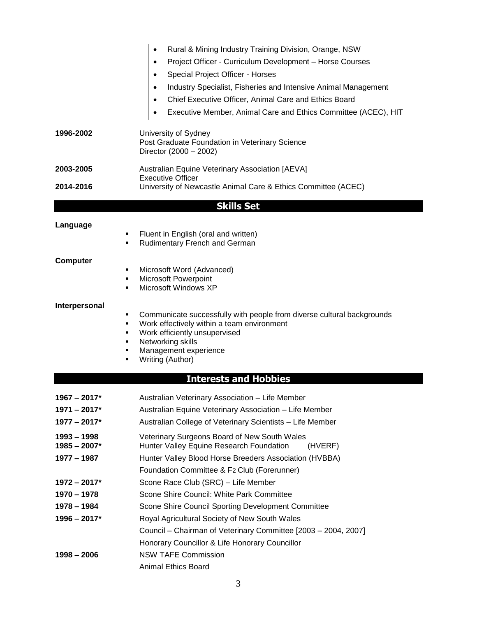|                | Rural & Mining Industry Training Division, Orange, NSW<br>$\bullet$                                                  |  |  |  |
|----------------|----------------------------------------------------------------------------------------------------------------------|--|--|--|
|                | Project Officer - Curriculum Development - Horse Courses<br>$\bullet$                                                |  |  |  |
|                | Special Project Officer - Horses<br>$\bullet$                                                                        |  |  |  |
|                | Industry Specialist, Fisheries and Intensive Animal Management<br>$\bullet$                                          |  |  |  |
|                | Chief Executive Officer, Animal Care and Ethics Board                                                                |  |  |  |
|                | Executive Member, Animal Care and Ethics Committee (ACEC), HIT<br>$\bullet$                                          |  |  |  |
|                |                                                                                                                      |  |  |  |
| 1996-2002      | University of Sydney<br>Post Graduate Foundation in Veterinary Science<br>Director (2000 - 2002)                     |  |  |  |
| 2003-2005      | Australian Equine Veterinary Association [AEVA]                                                                      |  |  |  |
|                | <b>Executive Officer</b>                                                                                             |  |  |  |
| 2014-2016      | University of Newcastle Animal Care & Ethics Committee (ACEC)                                                        |  |  |  |
|                | <b>Skills Set</b>                                                                                                    |  |  |  |
|                |                                                                                                                      |  |  |  |
| Language       | Fluent in English (oral and written)                                                                                 |  |  |  |
| ٠              | Rudimentary French and German                                                                                        |  |  |  |
| Computer       |                                                                                                                      |  |  |  |
| ٠              | Microsoft Word (Advanced)                                                                                            |  |  |  |
| ٠<br>٠         | <b>Microsoft Powerpoint</b><br>Microsoft Windows XP                                                                  |  |  |  |
|                |                                                                                                                      |  |  |  |
| Interpersonal  |                                                                                                                      |  |  |  |
| ٠<br>٠         | Communicate successfully with people from diverse cultural backgrounds<br>Work effectively within a team environment |  |  |  |
| ٠              | Work efficiently unsupervised                                                                                        |  |  |  |
| ٠              | Networking skills                                                                                                    |  |  |  |
| ٠              | Management experience<br>٠<br>Writing (Author)                                                                       |  |  |  |
|                |                                                                                                                      |  |  |  |
|                | <b>Interests and Hobbies</b>                                                                                         |  |  |  |
| $1967 - 2017*$ | Australian Veterinary Association - Life Member                                                                      |  |  |  |
| $1971 - 2017*$ | Australian Equine Veterinary Association - Life Member                                                               |  |  |  |
| $1977 - 2017*$ | Australian College of Veterinary Scientists - Life Member                                                            |  |  |  |
| $1993 - 1998$  | Veterinary Surgeons Board of New South Wales                                                                         |  |  |  |
| $1985 - 2007*$ | Hunter Valley Equine Research Foundation<br>(HVERF)                                                                  |  |  |  |
| 1977 - 1987    | Hunter Valley Blood Horse Breeders Association (HVBBA)                                                               |  |  |  |
|                | Foundation Committee & F2 Club (Forerunner)                                                                          |  |  |  |
| $1972 - 2017*$ | Scone Race Club (SRC) - Life Member                                                                                  |  |  |  |
| 1970 - 1978    | Scone Shire Council: White Park Committee                                                                            |  |  |  |
| 1978 - 1984    | Scone Shire Council Sporting Development Committee                                                                   |  |  |  |
| $1996 - 2017*$ | Royal Agricultural Society of New South Wales                                                                        |  |  |  |
|                | Council - Chairman of Veterinary Committee [2003 - 2004, 2007]                                                       |  |  |  |
|                | Honorary Councillor & Life Honorary Councillor                                                                       |  |  |  |
| $1998 - 2006$  | <b>NSW TAFE Commission</b>                                                                                           |  |  |  |
|                | <b>Animal Ethics Board</b>                                                                                           |  |  |  |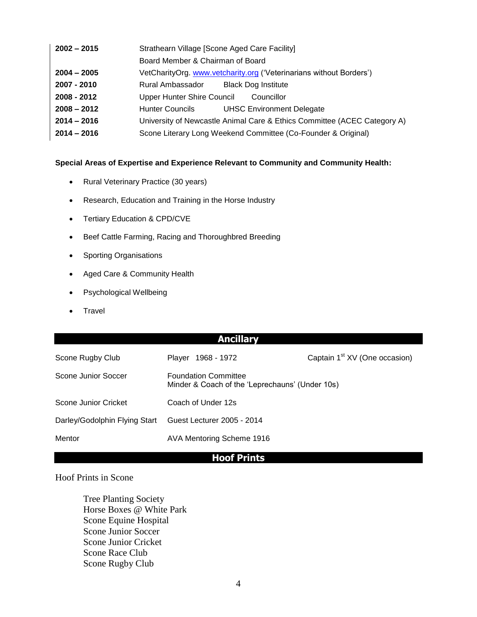| $2002 - 2015$ | Strathearn Village [Scone Aged Care Facility] |                                                                          |  |  |
|---------------|-----------------------------------------------|--------------------------------------------------------------------------|--|--|
|               | Board Member & Chairman of Board              |                                                                          |  |  |
| $2004 - 2005$ |                                               | VetCharityOrg. www.vetcharity.org ('Veterinarians without Borders')      |  |  |
| 2007 - 2010   | Rural Ambassador                              | <b>Black Dog Institute</b>                                               |  |  |
| 2008 - 2012   | Upper Hunter Shire Council                    | Councillor                                                               |  |  |
| $2008 - 2012$ | <b>Hunter Councils</b>                        | <b>UHSC Environment Delegate</b>                                         |  |  |
| $2014 - 2016$ |                                               | University of Newcastle Animal Care & Ethics Committee (ACEC Category A) |  |  |
| $2014 - 2016$ |                                               | Scone Literary Long Weekend Committee (Co-Founder & Original)            |  |  |
|               |                                               |                                                                          |  |  |

#### **Special Areas of Expertise and Experience Relevant to Community and Community Health:**

- Rural Veterinary Practice (30 years)
- Research, Education and Training in the Horse Industry
- Tertiary Education & CPD/CVE
- Beef Cattle Farming, Racing and Thoroughbred Breeding
- Sporting Organisations
- Aged Care & Community Health
- Psychological Wellbeing
- Travel

## **Ancillary**

| Scone Rugby Club              | Player 1968 - 1972                                                             | Captain 1 <sup>st</sup> XV (One occasion) |  |
|-------------------------------|--------------------------------------------------------------------------------|-------------------------------------------|--|
| Scone Junior Soccer           | <b>Foundation Committee</b><br>Minder & Coach of the 'Leprechauns' (Under 10s) |                                           |  |
| Scone Junior Cricket          | Coach of Under 12s                                                             |                                           |  |
| Darley/Godolphin Flying Start | Guest Lecturer 2005 - 2014                                                     |                                           |  |
| Mentor                        | AVA Mentoring Scheme 1916                                                      |                                           |  |

## **Hoof Prints**

### Hoof Prints in Scone

Tree Planting Society Horse Boxes @ White Park Scone Equine Hospital Scone Junior Soccer Scone Junior Cricket Scone Race Club Scone Rugby Club